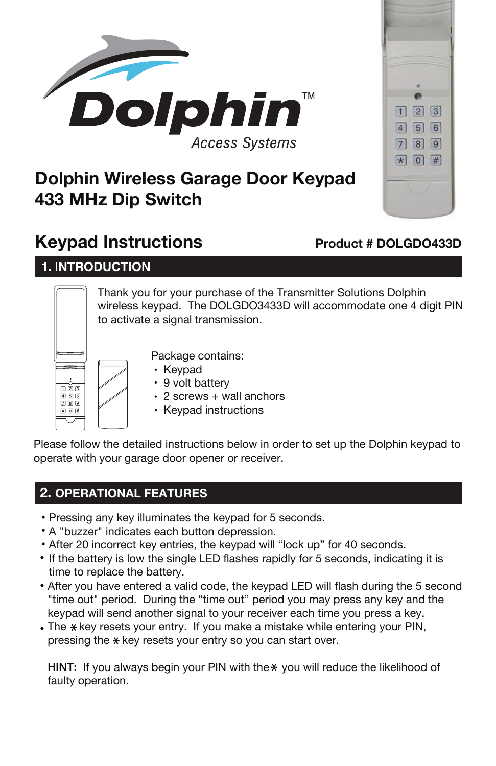



# **Dolphin Wireless Garage Door Keypad 433 MHz Dip Switch**

# **Keypad Instructions**

# **Product # DOLGDO433D**

**1. INTRODUCTION** 

Thank you for your purchase of the Transmitter Solutions Dolphin wireless keypad. The DOLGDO3433D will accommodate one 4 digit PIN to activate a signal transmission.



Package contains:

- Keypad
- 9 volt battery
- $\cdot$  2 screws + wall anchors
- Keypad instructions

Please follow the detailed instructions below in order to set up the Dolphin keypad to operate with your garage door opener or receiver.

# **2. OPERATIONAL FEATURES**

- Pressing any key illuminates the keypad for 5 seconds.
- A "buzzer" indicates each button depression.
- After 20 incorrect key entries, the keypad will "lock up" for 40 seconds.
- If the battery is low the single LED flashes rapidly for 5 seconds, indicating it is time to replace the battery.
- After you have entered a valid code, the keypad LED will flash during the 5 second "time out" period. During the "time out" period you may press any key and the keypad will send another signal to your receiver each time you press a key.
- . The \*key resets your entry. If you make a mistake while entering your PIN, pressing the  $*$  key resets your entry so you can start over.

HINT: If you always begin your PIN with the \* you will reduce the likelihood of faulty operation.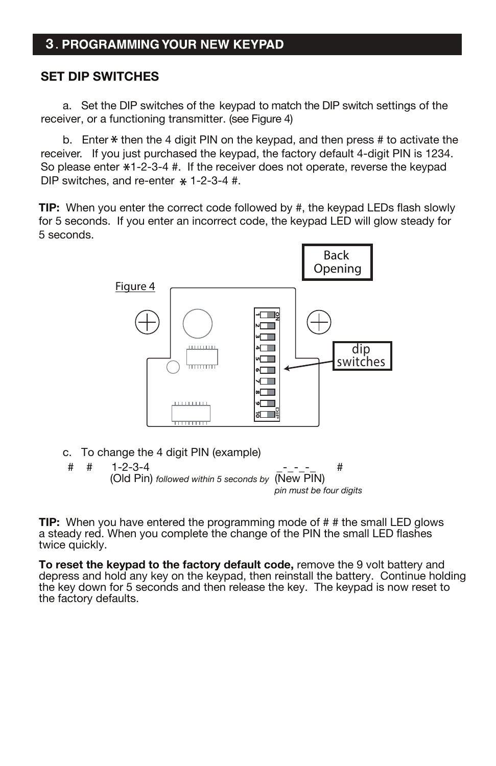## **3. PROGRAMMING YOUR NEW KEYPAD**

### **SET DIP SWITCHES**

 a. Set the DIP switches of the keypad to match the DIP switch settings of the receiver, or a functioning transmitter. (see Figure 4)

b. Enter  $*$  then the 4 digit PIN on the keypad, and then press  $#$  to activate the receiver. If you just purchased the keypad, the factory default 4-digit PIN is 1234. So please enter  $*1-2-3-4$  #. If the receiver does not operate, reverse the keypad DIP switches, and re-enter  $*$  1-2-3-4 #.

**TIP:** When you enter the correct code followed by #, the keypad LEDs flash slowly for 5 seconds. If you enter an incorrect code, the keypad LED will glow steady for 5 seconds.





**TIP:** When you have entered the programming mode of # # the small LED glows a steady red. When you complete the change of the PIN the small LED flashes twice quickly.

**To reset the keypad to the factory default code, remove the 9 volt battery and** depress and hold any key on the keypad, then reinstall the battery. Continue holding the key down for 5 seconds and then release the key. The keypad is now reset to the factory defaults.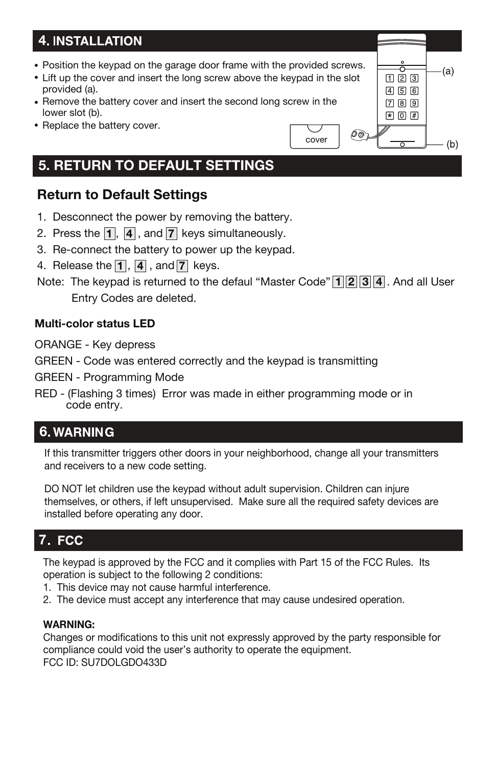# **4**

- Position the keypad on the garage door frame with the provided screws.
- Lift up the cover and insert the long screw above the keypad in the slot provided (a).
- Remove the battery cover and insert the second long screw in the lower slot (b).
- Replace the battery cover.

#### $\bullet$  0 #  $\widehat{\rho_\mathcal{D}}$ cover  $(b)$

 $123$ 456 789  $(a)$ 

# **5. RETURN TO DEFAULT SETTINGS**

## **Return to Default Settings**

- 1. Desconnect the power by removing the battery.
- 2. Press the  $\mathbf{1}$ ,  $\mathbf{4}$  , and  $\mathbf{7}$  keys simultaneously.
- 3. Re-connect the battery to power up the keypad.
- 4. Release the **1**, **4** , and **7** keys.
- **1** Note: The keypad is returned to the defaul "Master Code" [1] [2] [3] [4] . And all User Entry Codes are deleted.

### **Multi-color status LED**

ORANGE - Key depress

GREEN - Code was entered correctly and the keypad is transmitting

GREEN - Programming Mode

RED - (Flashing 3 times) Error was made in either programming mode or in code entry.

# **6**

If this transmitter triggers other doors in your neighborhood, change all your transmitters and receivers to a new code setting.

DO NOT let children use the keypad without adult supervision. Children can injure themselves, or others, if left unsupervised. Make sure all the required safety devices are installed before operating any door.

# **7**

The keypad is approved by the FCC and it complies with Part 15 of the FCC Rules. Its operation is subject to the following 2 conditions:

- 1. This device may not cause harmful interference.
- 2. The device must accept any interference that may cause undesired operation.

#### **WARNING:**

Changes or modifications to this unit not expressly approved by the party responsible for compliance could void the user's authority to operate the equipment. FCC ID: SU7DOLGDO433D